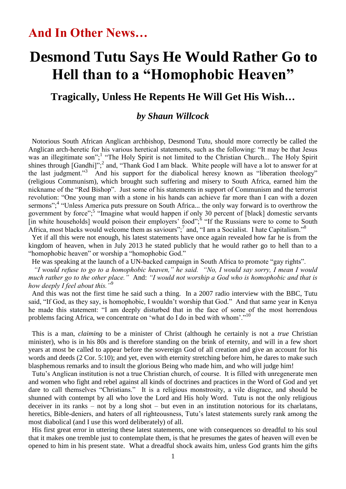## **Desmond Tutu Says He Would Rather Go to Hell than to a "Homophobic Heaven"**

**Tragically, Unless He Repents He Will Get His Wish…**

## *by Shaun Willcock*

 Notorious South African Anglican archbishop, Desmond Tutu, should more correctly be called the Anglican arch-heretic for his various heretical statements, such as the following: "It may be that Jesus was an illegitimate son";<sup>1</sup> "The Holy Spirit is not limited to the Christian Church... The Holy Spirit shines through  $[Gandhi]$ <sup>", 2</sup> and, "Thank God I am black. White people will have a lot to answer for at the last judgment."<sup>3</sup> And his support for the diabolical heresy known as "liberation theology" (religious Communism), which brought such suffering and misery to South Africa, earned him the nickname of the "Red Bishop". Just some of his statements in support of Communism and the terrorist revolution: "One young man with a stone in his hands can achieve far more than I can with a dozen sermons",<sup>4</sup> "Unless America puts pressure on South Africa... the only way forward is to overthrow the government by force";<sup>5</sup> "Imagine what would happen if only 30 percent of [black] domestic servants [in white households] would poison their employers' food";<sup>6</sup> "If the Russians were to come to South Africa, most blacks would welcome them as saviours";<sup>7</sup> and, "I am a Socialist. I hate Capitalism."<sup>8</sup>

 Yet if all this were not enough, his latest statements have once again revealed how far he is from the kingdom of heaven, when in July 2013 he stated publicly that he would rather go to hell than to a "homophobic heaven" or worship a "homophobic God."

He was speaking at the launch of a UN-backed campaign in South Africa to promote "gay rights".

 *"I would refuse to go to a homophobic heaven," he said. "No, I would say sorry, I mean I would much rather go to the other place."* And: *"I would not worship a God who is homophobic and that is how deeply I feel about this."*<sup>9</sup>

 And this was not the first time he said such a thing. In a 2007 radio interview with the BBC, Tutu said, "If God, as they say, is homophobic, I wouldn't worship that God." And that same year in Kenya he made this statement: "I am deeply disturbed that in the face of some of the most horrendous problems facing Africa, we concentrate on 'what do I do in bed with whom'."<sup>10</sup>

 This is a man, *claiming* to be a minister of Christ (although he certainly is not a *true* Christian minister), who is in his 80s and is therefore standing on the brink of eternity, and will in a few short years at most be called to appear before the sovereign God of all creation and give an account for his words and deeds (2 Cor. 5:10); and yet, even with eternity stretching before him, he dares to make such blasphemous remarks and to insult the glorious Being who made him, and who will judge him!

 Tutu's Anglican institution is not a true Christian church, of course. It is filled with unregenerate men and women who fight and rebel against all kinds of doctrines and practices in the Word of God and yet dare to call themselves "Christians." It is a religious monstrosity, a vile disgrace, and should be shunned with contempt by all who love the Lord and His holy Word. Tutu is not the only religious deceiver in its ranks – not by a long shot – but even in an institution notorious for its charlatans, heretics, Bible-deniers, and haters of all righteousness, Tutu's latest statements surely rank among the most diabolical (and I use this word deliberately) of all.

 His first great error in uttering these latest statements, one with consequences so dreadful to his soul that it makes one tremble just to contemplate them, is that he presumes the gates of heaven will even be opened to him in his present state. What a dreadful shock awaits him, unless God grants him the gifts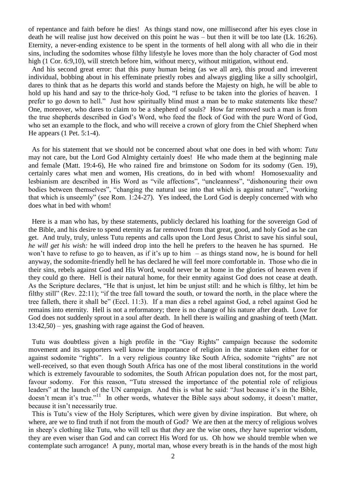of repentance and faith before he dies! As things stand now, one millisecond after his eyes close in death he will realise just how deceived on this point he was – but then it will be too late (Lk. 16:26). Eternity, a never-ending existence to be spent in the torments of hell along with all who die in their sins, including the sodomites whose filthy lifestyle he loves more than the holy character of God most high (1 Cor. 6:9,10), will stretch before him, without mercy, without mitigation, without end.

 And his second great error: that this puny human being (as we all are), this proud and irreverent individual, bobbing about in his effeminate priestly robes and always giggling like a silly schoolgirl, dares to think that as he departs this world and stands before the Majesty on high, he will be able to hold up his hand and say to the thrice-holy God, "I refuse to be taken into the glories of heaven. I prefer to go down to hell." Just how spiritually blind must a man be to make statements like these? One, moreover, who dares to claim to be a shepherd of souls? How far removed such a man is from the true shepherds described in God's Word, who feed the flock of God with the pure Word of God, who set an example to the flock, and who will receive a crown of glory from the Chief Shepherd when He appears (1 Pet. 5:1-4).

 As for his statement that we should not be concerned about what one does in bed with whom: *Tutu* may not care, but the Lord God Almighty certainly does! He who made them at the beginning male and female (Matt. 19:4-6), He who rained fire and brimstone on Sodom for its sodomy (Gen. 19), certainly cares what men and women, His creations, do in bed with whom! Homosexuality and lesbianism are described in His Word as "vile affections", "uncleanness", "dishonouring their own bodies between themselves", "changing the natural use into that which is against nature", "working that which is unseemly" (see Rom. 1:24-27). Yes indeed, the Lord God is deeply concerned with who does what in bed with whom!

 Here is a man who has, by these statements, publicly declared his loathing for the sovereign God of the Bible, and his desire to spend eternity as far removed from that great, good, and holy God as he can get. And truly, truly, unless Tutu repents and calls upon the Lord Jesus Christ to save his sinful soul, *he will get his wish:* he will indeed drop into the hell he prefers to the heaven he has spurned. He won't have to refuse to go to heaven, as if it's up to him – as things stand now, he is bound for hell anyway, the sodomite-friendly hell he has declared he will feel more comfortable in. Those who die in their sins, rebels against God and His Word, would never be at home in the glories of heaven even if they could go there. Hell is their natural home, for their enmity against God does not cease at death. As the Scripture declares, "He that is unjust, let him be unjust still: and he which is filthy, let him be filthy still" (Rev. 22:11); "if the tree fall toward the south, or toward the north, in the place where the tree falleth, there it shall be" (Eccl. 11:3). If a man dies a rebel against God, a rebel against God he remains into eternity. Hell is not a reformatory; there is no change of his nature after death. Love for God does not suddenly sprout in a soul after death. In hell there is wailing and gnashing of teeth (Matt. 13:42,50) – yes, gnashing with rage against the God of heaven.

 Tutu was doubtless given a high profile in the "Gay Rights" campaign because the sodomite movement and its supporters well know the importance of religion in the stance taken either for or against sodomite "rights". In a very religious country like South Africa, sodomite "rights" are not well-received, so that even though South Africa has one of the most liberal constitutions in the world which is extremely favourable to sodomites, the South African population does not, for the most part, favour sodomy. For this reason, "Tutu stressed the importance of the potential role of religious leaders" at the launch of the UN campaign. And this is what he said: "Just because it's in the Bible, doesn't mean it's true."<sup>11</sup> In other words, whatever the Bible says about sodomy, it doesn't matter, because it isn't necessarily true.

 This is Tutu's view of the Holy Scriptures, which were given by divine inspiration. But where, oh where, are we to find truth if not from the mouth of God? We are then at the mercy of religious wolves in sheep's clothing like Tutu, who will tell us that *they* are the wise ones, *they* have superior wisdom, they are even wiser than God and can correct His Word for us. Oh how we should tremble when we contemplate such arrogance! A puny, mortal man, whose every breath is in the hands of the most high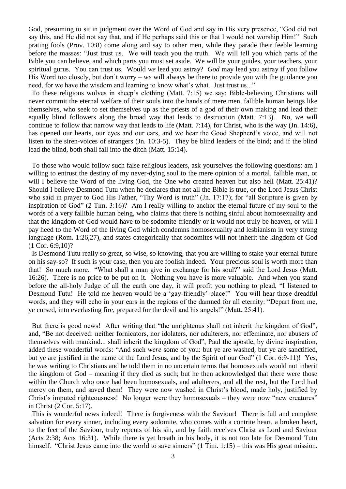God, presuming to sit in judgment over the Word of God and say in His very presence, "God did not say this, and He did not say that, and if He perhaps said this or that I would not worship Him!" Such prating fools (Prov. 10:8) come along and say to other men, while they parade their feeble learning before the masses: "Just trust us. We will teach you the truth. We will tell you which parts of the Bible you can believe, and which parts you must set aside. We will be your guides, your teachers, your spiritual gurus. You can trust us. Would *we* lead you astray? *God* may lead you astray if you follow His Word too closely, but don't worry – *we* will always be there to provide you with the guidance you need, for we have the wisdom and learning to know what's what. Just trust us..."

 To these religious wolves in sheep's clothing (Matt. 7:15) we say: Bible-believing Christians will never commit the eternal welfare of their souls into the hands of mere men, fallible human beings like themselves, who seek to set themselves up as the priests of a god of their own making and lead their equally blind followers along the broad way that leads to destruction (Matt. 7:13). No, we will continue to follow that narrow way that leads to life (Matt. 7:14), for Christ, who is the way (Jn.  $14:6$ ), has opened our hearts, our eyes and our ears, and we hear the Good Shepherd's voice, and will not listen to the siren-voices of strangers (Jn. 10:3-5). They be blind leaders of the bind; and if the blind lead the blind, both shall fall into the ditch (Matt. 15:14).

 To those who would follow such false religious leaders, ask yourselves the following questions: am I willing to entrust the destiny of my never-dying soul to the mere opinion of a mortal, fallible man, or will I believe the Word of the living God, the One who created heaven but also hell (Matt. 25:41)? Should I believe Desmond Tutu when he declares that not all the Bible is true, or the Lord Jesus Christ who said in prayer to God His Father, "Thy Word is truth" (Jn. 17:17); for "all Scripture is given by inspiration of God" (2 Tim. 3:16)? Am I really willing to anchor the eternal future of my soul to the words of a very fallible human being, who claims that there is nothing sinful about homosexuality and that the kingdom of God would have to be sodomite-friendly or it would not truly be heaven, or will I pay heed to the Word of the living God which condemns homosexuality and lesbianism in very strong language (Rom. 1:26,27), and states categorically that sodomites will not inherit the kingdom of God (1 Cor. 6:9,10)?

 Is Desmond Tutu really so great, so wise, so knowing, that you are willing to stake your eternal future on his say-so? If such is your case, then you are foolish indeed. Your precious soul is worth more than that! So much more. "What shall a man give in exchange for his soul?" said the Lord Jesus (Matt. 16:26). There is no price to be put on it. Nothing you have is more valuable. And when you stand before the all-holy Judge of all the earth one day, it will profit you nothing to plead, "I listened to Desmond Tutu! He told me heaven would be a 'gay-friendly' place!" You will hear those dreadful words, and they will echo in your ears in the regions of the damned for all eternity: "Depart from me, ye cursed, into everlasting fire, prepared for the devil and his angels!" (Matt. 25:41).

But there is good news! After writing that "the unrighteous shall not inherit the kingdom of God", and, "Be not deceived: neither fornicators, nor idolaters, nor adulterers, nor effeminate, nor abusers of themselves with mankind... shall inherit the kingdom of God", Paul the apostle, by divine inspiration, added these wonderful words: "And such *were* some of you: but ye are washed, but ye are sanctified, but ye are justified in the name of the Lord Jesus, and by the Spirit of our God" (1 Cor. 6:9-11)! Yes, he was writing to Christians and he told them in no uncertain terms that homosexuals would not inherit the kingdom of God – meaning if they died as such; but he then acknowledged that there were those within the Church who once had been homosexuals, and adulterers, and all the rest, but the Lord had mercy on them, and saved them! They were now washed in Christ's blood, made holy, justified by Christ's imputed righteousness! No longer were they homosexuals – they were now "new creatures" in Christ (2 Cor. 5:17).

 This is wonderful news indeed! There is forgiveness with the Saviour! There is full and complete salvation for every sinner, including every sodomite, who comes with a contrite heart, a broken heart, to the feet of the Saviour, truly repents of his sin, and by faith receives Christ as Lord and Saviour (Acts 2:38; Acts 16:31). While there is yet breath in his body, it is not too late for Desmond Tutu himself. "Christ Jesus came into the world to save sinners" (1 Tim. 1:15) – this was His great mission.